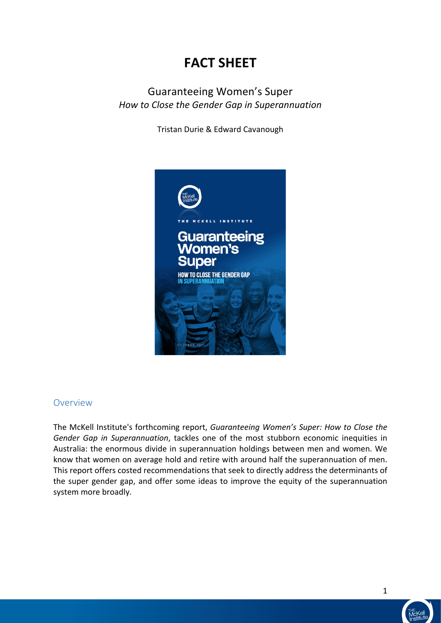# **FACT SHEET**

#### Guaranteeing Women's Super *How to Close the Gender Gap in Superannuation*

Tristan Durie & Edward Cavanough 



#### Overview

The McKell Institute's forthcoming report, *Guaranteeing Women's Super: How to Close the Gender Gap in Superannuation*, tackles one of the most stubborn economic inequities in Australia: the enormous divide in superannuation holdings between men and women. We know that women on average hold and retire with around half the superannuation of men. This report offers costed recommendations that seek to directly address the determinants of the super gender gap, and offer some ideas to improve the equity of the superannuation system more broadly.

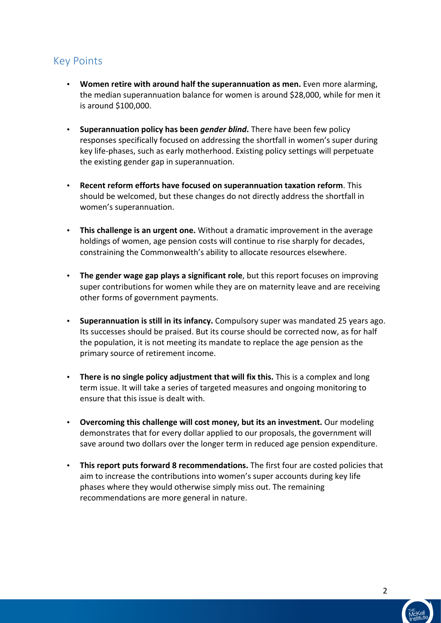### Key Points

- Women retire with around half the superannuation as men. Even more alarming, the median superannuation balance for women is around \$28,000, while for men it is around \$100,000.
- Superannuation policy has been *gender blind*. There have been few policy responses specifically focused on addressing the shortfall in women's super during key life-phases, such as early motherhood. Existing policy settings will perpetuate the existing gender gap in superannuation.
- Recent reform efforts have focused on superannuation taxation reform. This should be welcomed, but these changes do not directly address the shortfall in women's superannuation.
- **This challenge is an urgent one.** Without a dramatic improvement in the average holdings of women, age pension costs will continue to rise sharply for decades, constraining the Commonwealth's ability to allocate resources elsewhere.
- The gender wage gap plays a significant role, but this report focuses on improving super contributions for women while they are on maternity leave and are receiving other forms of government payments.
- Superannuation is still in its infancy. Compulsory super was mandated 25 years ago. Its successes should be praised. But its course should be corrected now, as for half the population, it is not meeting its mandate to replace the age pension as the primary source of retirement income.
- There is no single policy adjustment that will fix this. This is a complex and long term issue. It will take a series of targeted measures and ongoing monitoring to ensure that this issue is dealt with.
- Overcoming this challenge will cost money, but its an investment. Our modeling demonstrates that for every dollar applied to our proposals, the government will save around two dollars over the longer term in reduced age pension expenditure.
- This report puts forward 8 recommendations. The first four are costed policies that aim to increase the contributions into women's super accounts during key life phases where they would otherwise simply miss out. The remaining recommendations are more general in nature.

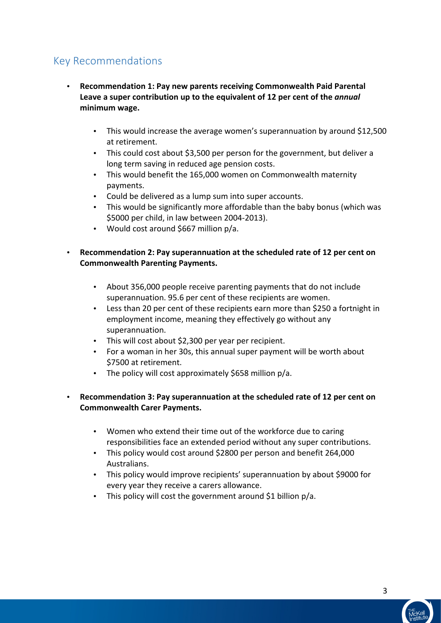### Key Recommendations

- **Recommendation 1: Pay new parents receiving Commonwealth Paid Parental Leave a super contribution up to the equivalent of 12 per cent of the** *annual* minimum wage.
	- This would increase the average women's superannuation by around  $$12,500$ at retirement.
	- This could cost about \$3,500 per person for the government, but deliver a long term saving in reduced age pension costs.
	- This would benefit the 165,000 women on Commonwealth maternity payments.
	- Could be delivered as a lump sum into super accounts.
	- This would be significantly more affordable than the baby bonus (which was \$5000 per child, in law between 2004-2013).
	- Would cost around \$667 million p/a.
- Recommendation 2: Pay superannuation at the scheduled rate of 12 per cent on **Commonwealth Parenting Payments.** 
	- About 356,000 people receive parenting payments that do not include superannuation. 95.6 per cent of these recipients are women.
	- Less than 20 per cent of these recipients earn more than \$250 a fortnight in employment income, meaning they effectively go without any superannuation.
	- This will cost about \$2,300 per year per recipient.
	- For a woman in her 30s, this annual super payment will be worth about \$7500 at retirement.
	- The policy will cost approximately  $$658$  million p/a.
- Recommendation 3: Pay superannuation at the scheduled rate of 12 per cent on **Commonwealth Carer Payments.** 
	- Women who extend their time out of the workforce due to caring responsibilities face an extended period without any super contributions.
	- This policy would cost around \$2800 per person and benefit 264,000 Australians.
	- This policy would improve recipients' superannuation by about \$9000 for every year they receive a carers allowance.
	- This policy will cost the government around \$1 billion  $p/a$ .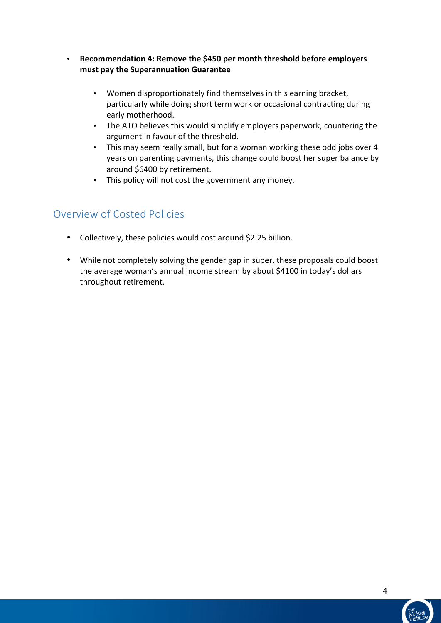- Recommendation 4: Remove the \$450 per month threshold before employers **must pay the Superannuation Guarantee** 
	- Women disproportionately find themselves in this earning bracket, particularly while doing short term work or occasional contracting during early motherhood.
	- The ATO believes this would simplify employers paperwork, countering the argument in favour of the threshold.
	- This may seem really small, but for a woman working these odd jobs over 4 years on parenting payments, this change could boost her super balance by around \$6400 by retirement.
	- This policy will not cost the government any money.

### Overview of Costed Policies

- Collectively, these policies would cost around \$2.25 billion.
- While not completely solving the gender gap in super, these proposals could boost the average woman's annual income stream by about \$4100 in today's dollars throughout retirement.